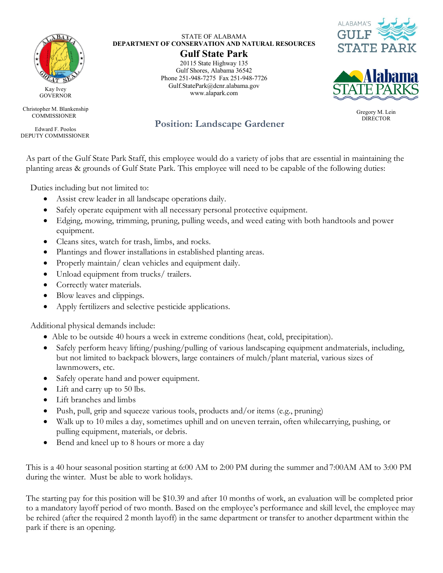

Kay Ivey **GOVERNOR** 

Christopher M. Blankenship **COMMISSIONER** 

Edward F. Poolos DEPUTY COMMISSIONER

## STATE OF ALABAMA **DEPARTMENT OF CONSERVATION AND NATURAL RESOURCES**

## **Gulf State Park**

20115 State Highway 135 Gulf Shores, Alabama 36542 Phone 251-948-7275 Fax 251-948-7726 Gulf.StatePark@dcnr.alabama.gov www.alapark.com





Gregory M. Lein<br>DIRECTOR

## **Position: Landscape Gardener**

As part of the Gulf State Park Staff, this employee would do a variety of jobs that are essential in maintaining the planting areas & grounds of Gulf State Park. This employee will need to be capable of the following duties:

Duties including but not limited to:

- Assist crew leader in all landscape operations daily.
- Safely operate equipment with all necessary personal protective equipment.
- Edging, mowing, trimming, pruning, pulling weeds, and weed eating with both handtools and power equipment.
- Cleans sites, watch for trash, limbs, and rocks.
- Plantings and flower installations in established planting areas.
- Properly maintain/ clean vehicles and equipment daily.
- Unload equipment from trucks/ trailers.
- Correctly water materials.
- Blow leaves and clippings.
- Apply fertilizers and selective pesticide applications.

Additional physical demands include:

- Able to be outside 40 hours a week in extreme conditions (heat, cold, precipitation).
- Safely perform heavy lifting/pushing/pulling of various landscaping equipment andmaterials, including, but not limited to backpack blowers, large containers of mulch/plant material, various sizes of lawnmowers, etc.
- Safely operate hand and power equipment.
- Lift and carry up to 50 lbs.
- Lift branches and limbs
- Push, pull, grip and squeeze various tools, products and/or items (e.g., pruning)
- Walk up to 10 miles a day, sometimes uphill and on uneven terrain, often whilecarrying, pushing, or pulling equipment, materials, or debris.
- Bend and kneel up to 8 hours or more a day

This is a 40 hour seasonal position starting at 6:00 AM to 2:00 PM during the summer and 7:00AM AM to 3:00 PM during the winter. Must be able to work holidays.

The starting pay for this position will be \$10.39 and after 10 months of work, an evaluation will be completed prior to a mandatory layoff period of two month. Based on the employee's performance and skill level, the employee may be rehired (after the required 2 month layoff) in the same department or transfer to another department within the park if there is an opening.